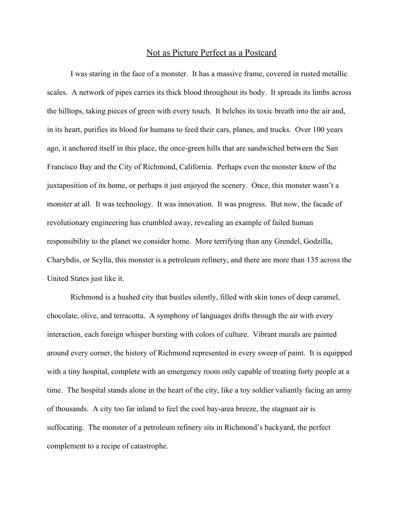## Not as Picture Perfect as a Postcard

I was staring in the face of a monster. It has a massive frame, covered in rusted metallic scales. A network of pipes carries its thick blood throughout its body. It spreads its limbs across the hilltops, taking pieces of green with every touch. It belches its toxic breath into the air and, in its heart, purifies its blood for humans to feed their cars, planes, and trucks. Over 100 years ago, it anchored itself in this place, the once-green hills that are sandwiched between the San Francisco Bay and the City of Richmond, California. Perhaps even the monster knew of the juxtaposition of its home, or perhaps it just enjoyed the scenery. Once, this monster wasn't a monster at all. It was technology. It was innovation. It was progress. But now, the facade of revolutionary engineering has crumbled away, revealing an example of failed human responsibility to the planet we consider home. More terrifying than any Grendel, Godzilla, Charybdis, or Scylla, this monster is a petroleum refinery, and there are more than 135 across the United States just like it.

Richmond is a hushed city that bustles silently, filled with skin tones of deep caramel, chocolate, olive, and terracotta. A symphony of languages drifts through the air with every interaction, each foreign whisper bursting with colors of culture. Vibrant murals are painted around every corner, the history of Richmond represented in every sweep of paint. It is equipped with a tiny hospital, complete with an emergency room only capable of treating forty people at a time. The hospital stands alone in the heart of the city, like a toy soldier valiantly facing an army of thousands. A city too far inland to feel the cool bay-area breeze, the stagnant air is suffocating. The monster of a petroleum refinery sits in Richmond's backyard, the perfect complement to a recipe of catastrophe.